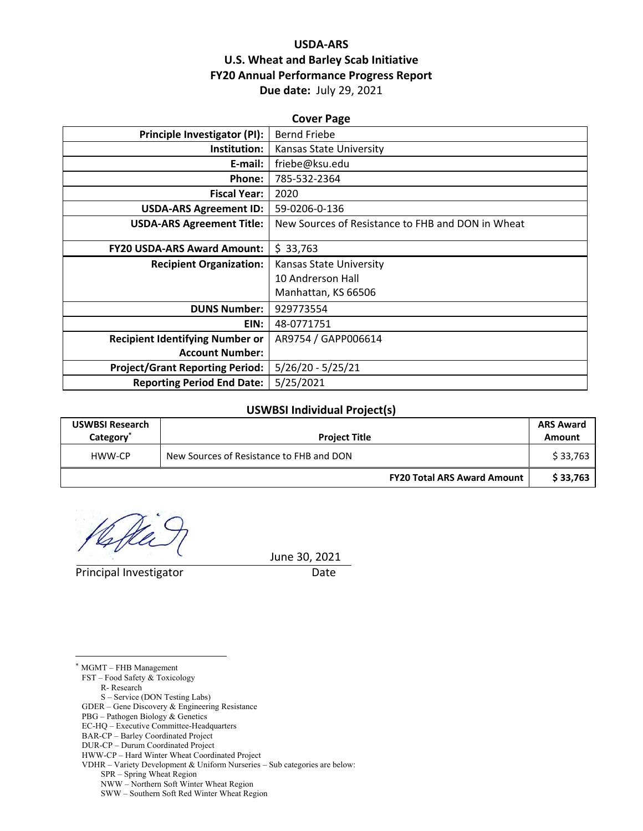## **USDA‐ARS U.S. Wheat and Barley Scab Initiative FY20 Annual Performance Progress Report Due date:** July 29, 2021

| <b>Cover Page</b>                      |                                                   |  |  |  |  |
|----------------------------------------|---------------------------------------------------|--|--|--|--|
| Principle Investigator (PI):           | <b>Bernd Friebe</b>                               |  |  |  |  |
| Institution:                           | Kansas State University                           |  |  |  |  |
| E-mail:                                | friebe@ksu.edu                                    |  |  |  |  |
| Phone:                                 | 785-532-2364                                      |  |  |  |  |
| <b>Fiscal Year:</b>                    | 2020                                              |  |  |  |  |
| <b>USDA-ARS Agreement ID:</b>          | 59-0206-0-136                                     |  |  |  |  |
| <b>USDA-ARS Agreement Title:</b>       | New Sources of Resistance to FHB and DON in Wheat |  |  |  |  |
| <b>FY20 USDA-ARS Award Amount:</b>     | \$33,763                                          |  |  |  |  |
| <b>Recipient Organization:</b>         | Kansas State University                           |  |  |  |  |
|                                        | 10 Andrerson Hall                                 |  |  |  |  |
|                                        | Manhattan, KS 66506                               |  |  |  |  |
| <b>DUNS Number:</b>                    | 929773554                                         |  |  |  |  |
| EIN:                                   | 48-0771751                                        |  |  |  |  |
| <b>Recipient Identifying Number or</b> | AR9754 / GAPP006614                               |  |  |  |  |
| <b>Account Number:</b>                 |                                                   |  |  |  |  |
| <b>Project/Grant Reporting Period:</b> | $5/26/20 - 5/25/21$                               |  |  |  |  |
| <b>Reporting Period End Date:</b>      | 5/25/2021                                         |  |  |  |  |

#### **USWBSI Individual Project(s)**

| <b>USWBSI Research</b><br>Category <sup>®</sup> | <b>Project Title</b>                     | <b>ARS Award</b><br>Amount |
|-------------------------------------------------|------------------------------------------|----------------------------|
| HWW-CP                                          | New Sources of Resistance to FHB and DON | \$33,763                   |
|                                                 | <b>FY20 Total ARS Award Amount</b>       | \$33.763                   |

 $\frac{1}{2}$ 

Principal Investigator **Date** 

June 30, 2021

\* MGMT – FHB Management

 $\overline{a}$ 

FST – Food Safety & Toxicology

R- Research

S – Service (DON Testing Labs)

- PBG Pathogen Biology & Genetics
- EC-HQ Executive Committee-Headquarters
- BAR-CP Barley Coordinated Project DUR-CP – Durum Coordinated Project
- 

SPR – Spring Wheat Region

GDER – Gene Discovery & Engineering Resistance

HWW-CP – Hard Winter Wheat Coordinated Project VDHR – Variety Development & Uniform Nurseries – Sub categories are below:

NWW – Northern Soft Winter Wheat Region

SWW – Southern Soft Red Winter Wheat Region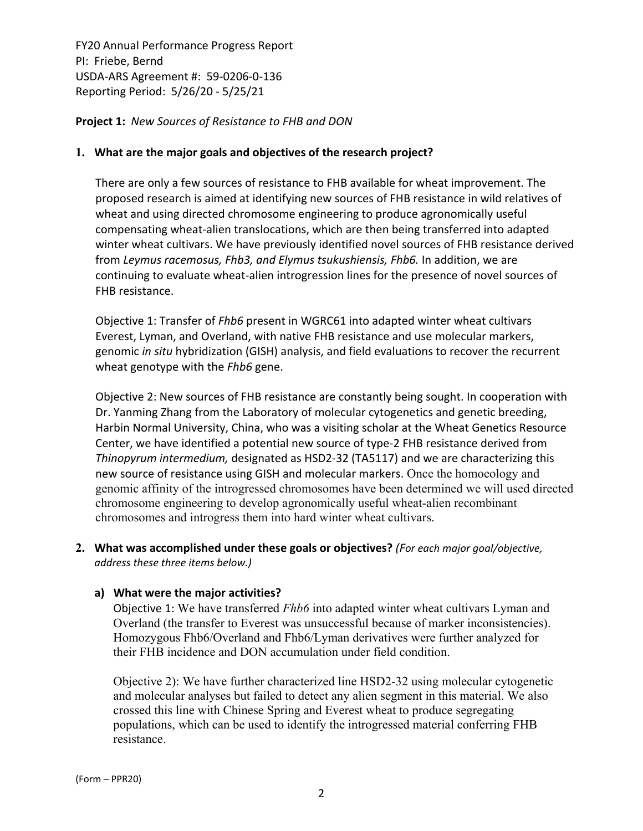**Project 1:** *New Sources of Resistance to FHB and DON*

#### **1. What are the major goals and objectives of the research project?**

There are only a few sources of resistance to FHB available for wheat improvement. The proposed research is aimed at identifying new sources of FHB resistance in wild relatives of wheat and using directed chromosome engineering to produce agronomically useful compensating wheat‐alien translocations, which are then being transferred into adapted winter wheat cultivars. We have previously identified novel sources of FHB resistance derived from *Leymus racemosus, Fhb3, and Elymus tsukushiensis, Fhb6.* In addition, we are continuing to evaluate wheat‐alien introgression lines for the presence of novel sources of FHB resistance.

Objective 1: Transfer of *Fhb6* present in WGRC61 into adapted winter wheat cultivars Everest, Lyman, and Overland, with native FHB resistance and use molecular markers, genomic *in situ* hybridization (GISH) analysis, and field evaluations to recover the recurrent wheat genotype with the *Fhb6* gene.

Objective 2: New sources of FHB resistance are constantly being sought. In cooperation with Dr. Yanming Zhang from the Laboratory of molecular cytogenetics and genetic breeding, Harbin Normal University, China, who was a visiting scholar at the Wheat Genetics Resource Center, we have identified a potential new source of type‐2 FHB resistance derived from *Thinopyrum intermedium,* designated as HSD2‐32 (TA5117) and we are characterizing this new source of resistance using GISH and molecular markers. Once the homoeology and genomic affinity of the introgressed chromosomes have been determined we will used directed chromosome engineering to develop agronomically useful wheat-alien recombinant chromosomes and introgress them into hard winter wheat cultivars.

**2. What was accomplished under these goals or objectives?** *(For each major goal/objective, address these three items below.)*

## **a) What were the major activities?**

Objective 1: We have transferred *Fhb6* into adapted winter wheat cultivars Lyman and Overland (the transfer to Everest was unsuccessful because of marker inconsistencies). Homozygous Fhb6/Overland and Fhb6/Lyman derivatives were further analyzed for their FHB incidence and DON accumulation under field condition.

Objective 2): We have further characterized line HSD2-32 using molecular cytogenetic and molecular analyses but failed to detect any alien segment in this material. We also crossed this line with Chinese Spring and Everest wheat to produce segregating populations, which can be used to identify the introgressed material conferring FHB resistance.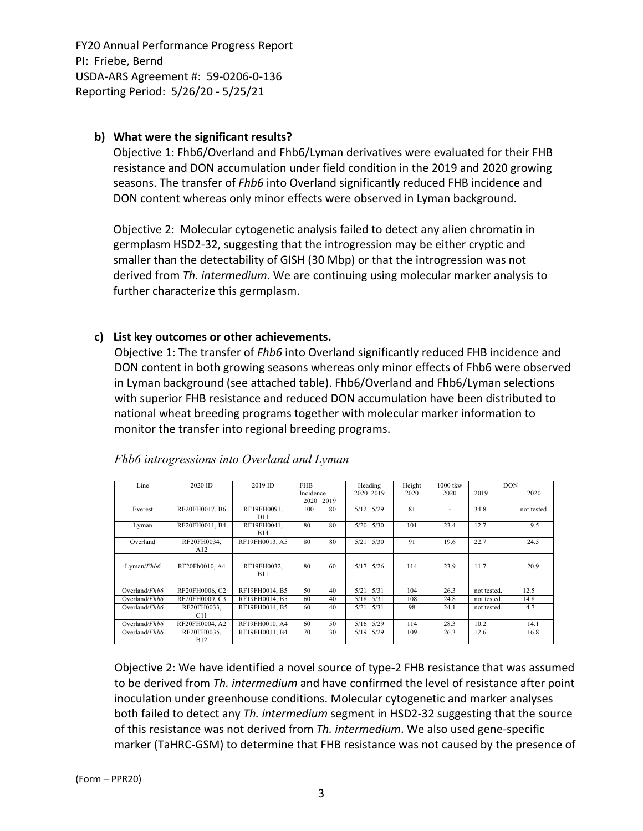### **b) What were the significant results?**

Objective 1: Fhb6/Overland and Fhb6/Lyman derivatives were evaluated for their FHB resistance and DON accumulation under field condition in the 2019 and 2020 growing seasons. The transfer of *Fhb6* into Overland significantly reduced FHB incidence and DON content whereas only minor effects were observed in Lyman background.

Objective 2: Molecular cytogenetic analysis failed to detect any alien chromatin in germplasm HSD2‐32, suggesting that the introgression may be either cryptic and smaller than the detectability of GISH (30 Mbp) or that the introgression was not derived from *Th. intermedium*. We are continuing using molecular marker analysis to further characterize this germplasm.

## **c) List key outcomes or other achievements.**

Objective 1: The transfer of *Fhb6* into Overland significantly reduced FHB incidence and DON content in both growing seasons whereas only minor effects of Fhb6 were observed in Lyman background (see attached table). Fhb6/Overland and Fhb6/Lyman selections with superior FHB resistance and reduced DON accumulation have been distributed to national wheat breeding programs together with molecular marker information to monitor the transfer into regional breeding programs.

| Line             | 2020 ID        | 2019 ID        | <b>FHB</b> |    | Heading       | Height | $1000$ tkw | <b>DON</b>  |            |
|------------------|----------------|----------------|------------|----|---------------|--------|------------|-------------|------------|
|                  |                |                | Incidence  |    | 2020 2019     | 2020   | 2020       | 2019        | 2020       |
|                  |                |                | 2020 2019  |    |               |        |            |             |            |
| Everest          | RF20FH0017, B6 | RF19FH0091.    | 100        | 80 | $5/12$ $5/29$ | 81     |            | 34.8        | not tested |
|                  |                | D11            |            |    |               |        |            |             |            |
| Lyman            | RF20FH0011, B4 | RF19FH0041.    | 80         | 80 | 5/20<br>5/30  | 101    | 23.4       | 12.7        | 9.5        |
|                  |                | <b>B14</b>     |            |    |               |        |            |             |            |
| Overland         | RF20FH0034.    | RF19FH0013, A5 | 80         | 80 | 5/21<br>5/30  | 91     | 19.6       | 22.7        | 24.5       |
|                  | A12            |                |            |    |               |        |            |             |            |
|                  |                |                |            |    |               |        |            |             |            |
| Lyman/Fhb6       | RF20Fh0010, A4 | RF19FH0032.    | 80         | 60 | $5/17$ $5/26$ | 114    | 23.9       | 11.7        | 20.9       |
|                  |                | <b>B11</b>     |            |    |               |        |            |             |            |
|                  |                |                |            |    |               |        |            |             |            |
| Overland/ $Fhh6$ | RF20FH0006, C2 | RF19FH0014, B5 | 50         | 40 | 5/21<br>5/31  | 104    | 26.3       | not tested. | 12.5       |
| Overland/ $Fhb6$ | RF20FH0009, C3 | RF19FH0014, B5 | 60         | 40 | $5/18$ $5/31$ | 108    | 24.8       | not tested. | 14.8       |
| Overland/Fhh6    | RF20FH0033.    | RF19FH0014, B5 | 60         | 40 | 5/21<br>5/31  | 98     | 24.1       | not tested. | 4.7        |
|                  | C11            |                |            |    |               |        |            |             |            |
| Overland/ $Fhb6$ | RF20FH0004, A2 | RF19FH0010, A4 | 60         | 50 | $5/16$ $5/29$ | 114    | 28.3       | 10.2        | 14.1       |
| Overland/ $Fhb6$ | RF20FH0035,    | RF19FH0011, B4 | 70         | 30 | 5/19 5/29     | 109    | 26.3       | 12.6        | 16.8       |
|                  | <b>B12</b>     |                |            |    |               |        |            |             |            |

*Fhb6 introgressions into Overland and Lyman* 

Objective 2: We have identified a novel source of type‐2 FHB resistance that was assumed to be derived from *Th. intermedium* and have confirmed the level of resistance after point inoculation under greenhouse conditions. Molecular cytogenetic and marker analyses both failed to detect any *Th. intermedium* segment in HSD2‐32 suggesting that the source of this resistance was not derived from *Th. intermedium*. We also used gene‐specific marker (TaHRC‐GSM) to determine that FHB resistance was not caused by the presence of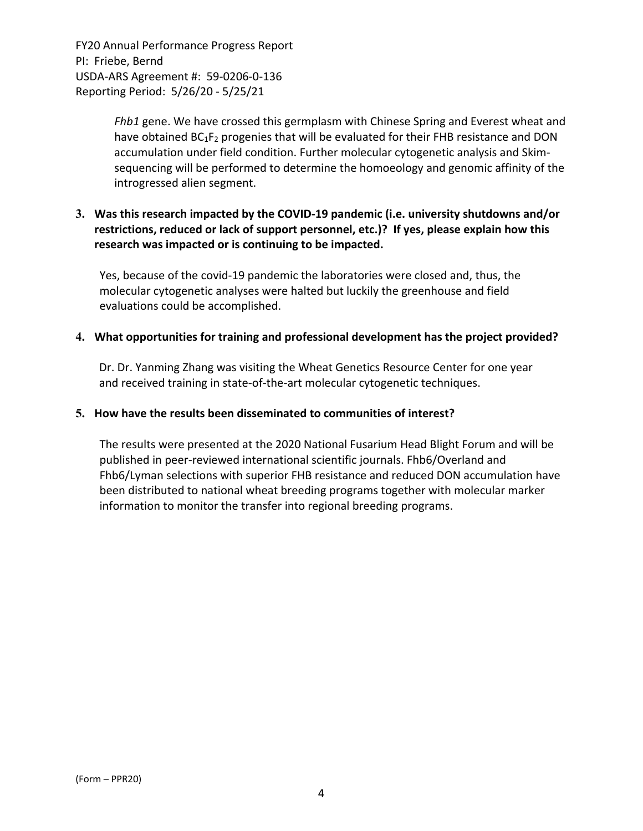> *Fhb1* gene. We have crossed this germplasm with Chinese Spring and Everest wheat and have obtained BC<sub>1</sub>F<sub>2</sub> progenies that will be evaluated for their FHB resistance and DON accumulation under field condition. Further molecular cytogenetic analysis and Skim‐ sequencing will be performed to determine the homoeology and genomic affinity of the introgressed alien segment.

## **3. Was this research impacted by the COVID‐19 pandemic (i.e. university shutdowns and/or restrictions, reduced or lack of support personnel, etc.)? If yes, please explain how this research was impacted or is continuing to be impacted.**

Yes, because of the covid‐19 pandemic the laboratories were closed and, thus, the molecular cytogenetic analyses were halted but luckily the greenhouse and field evaluations could be accomplished.

#### **4. What opportunities for training and professional development has the project provided?**

Dr. Dr. Yanming Zhang was visiting the Wheat Genetics Resource Center for one year and received training in state-of-the-art molecular cytogenetic techniques.

#### **5. How have the results been disseminated to communities of interest?**

The results were presented at the 2020 National Fusarium Head Blight Forum and will be published in peer‐reviewed international scientific journals. Fhb6/Overland and Fhb6/Lyman selections with superior FHB resistance and reduced DON accumulation have been distributed to national wheat breeding programs together with molecular marker information to monitor the transfer into regional breeding programs.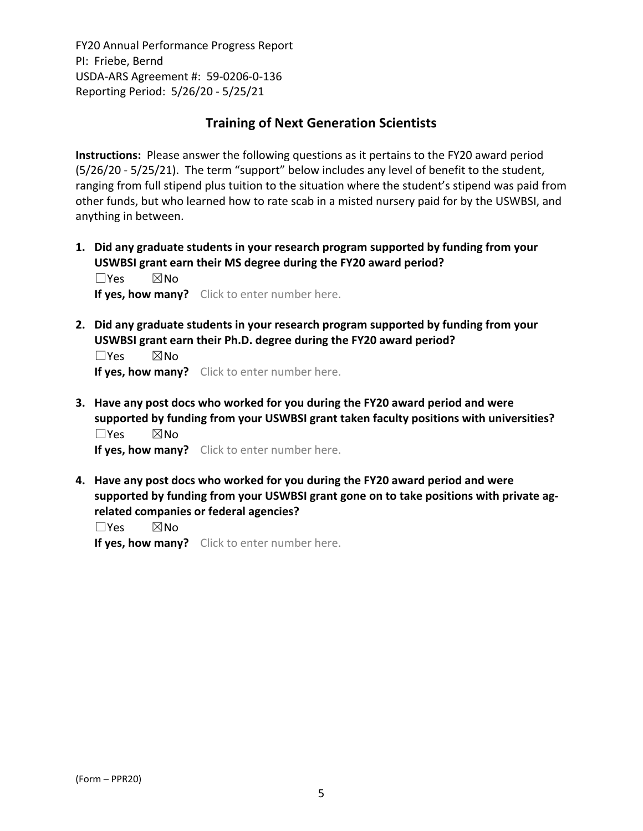# **Training of Next Generation Scientists**

**Instructions:** Please answer the following questions as it pertains to the FY20 award period (5/26/20 ‐ 5/25/21). The term "support" below includes any level of benefit to the student, ranging from full stipend plus tuition to the situation where the student's stipend was paid from other funds, but who learned how to rate scab in a misted nursery paid for by the USWBSI, and anything in between.

**1. Did any graduate students in your research program supported by funding from your USWBSI grant earn their MS degree during the FY20 award period?** ☐Yes ☒No

**If yes, how many?** Click to enter number here.

**2. Did any graduate students in your research program supported by funding from your USWBSI grant earn their Ph.D. degree during the FY20 award period?**

 $\square$ Yes  $\square$ No **If yes, how many?** Click to enter number here.

**3. Have any post docs who worked for you during the FY20 award period and were supported by funding from your USWBSI grant taken faculty positions with universities?** ☐Yes ☒No

**If yes, how many?** Click to enter number here.

**4. Have any post docs who worked for you during the FY20 award period and were supported by funding from your USWBSI grant gone on to take positions with private ag‐ related companies or federal agencies?**

☐Yes ☒No

**If yes, how many?** Click to enter number here.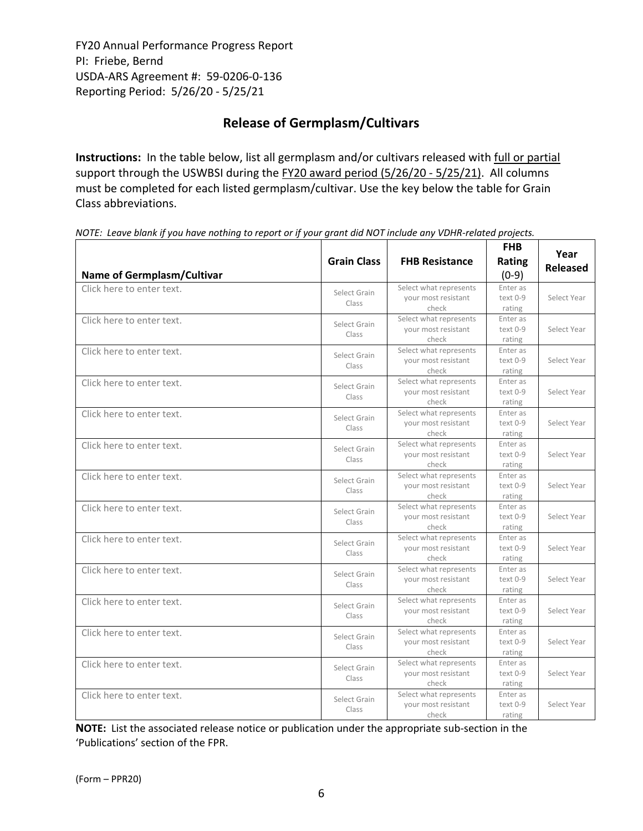# **Release of Germplasm/Cultivars**

**Instructions:** In the table below, list all germplasm and/or cultivars released with full or partial support through the USWBSI during the FY20 award period (5/26/20 - 5/25/21). All columns must be completed for each listed germplasm/cultivar. Use the key below the table for Grain Class abbreviations. 

| <b>Name of Germplasm/Cultivar</b> | <b>Grain Class</b>    | <b>FHB Resistance</b>                                  | <b>FHB</b><br>Rating<br>$(0-9)$  | Year<br><b>Released</b> |
|-----------------------------------|-----------------------|--------------------------------------------------------|----------------------------------|-------------------------|
| Click here to enter text.         | Select Grain<br>Class | Select what represents<br>your most resistant<br>check | Enter as<br>$text 0-9$<br>rating | Select Year             |
| Click here to enter text.         | Select Grain<br>Class | Select what represents<br>your most resistant<br>check | Enter as<br>text 0-9<br>rating   | Select Year             |
| Click here to enter text.         | Select Grain<br>Class | Select what represents<br>your most resistant<br>check | Enter as<br>text 0-9<br>rating   | Select Year             |
| Click here to enter text.         | Select Grain<br>Class | Select what represents<br>your most resistant<br>check | Enter as<br>text 0-9<br>rating   | Select Year             |
| Click here to enter text.         | Select Grain<br>Class | Select what represents<br>your most resistant<br>check | Enter as<br>text 0-9<br>rating   | Select Year             |
| Click here to enter text.         | Select Grain<br>Class | Select what represents<br>your most resistant<br>check | Enter as<br>text 0-9<br>rating   | Select Year             |
| Click here to enter text.         | Select Grain<br>Class | Select what represents<br>your most resistant<br>check | Enter as<br>text 0-9<br>rating   | Select Year             |
| Click here to enter text.         | Select Grain<br>Class | Select what represents<br>your most resistant<br>check | Enter as<br>text 0-9<br>rating   | Select Year             |
| Click here to enter text.         | Select Grain<br>Class | Select what represents<br>your most resistant<br>check | Enter as<br>text 0-9<br>rating   | Select Year             |
| Click here to enter text.         | Select Grain<br>Class | Select what represents<br>your most resistant<br>check | Enter as<br>text 0-9<br>rating   | Select Year             |
| Click here to enter text.         | Select Grain<br>Class | Select what represents<br>your most resistant<br>check | Enter as<br>text 0-9<br>rating   | Select Year             |
| Click here to enter text.         | Select Grain<br>Class | Select what represents<br>your most resistant<br>check | Enter as<br>text 0-9<br>rating   | Select Year             |
| Click here to enter text.         | Select Grain<br>Class | Select what represents<br>your most resistant<br>check | Enter as<br>text 0-9<br>rating   | Select Year             |
| Click here to enter text.         | Select Grain<br>Class | Select what represents<br>your most resistant<br>check | Enter as<br>text 0-9<br>rating   | Select Year             |

NOTE: Leave blank if you have nothing to report or if your grant did NOT include any VDHR-related projects.

**NOTE:** List the associated release notice or publication under the appropriate sub-section in the 'Publications' section of the FPR.